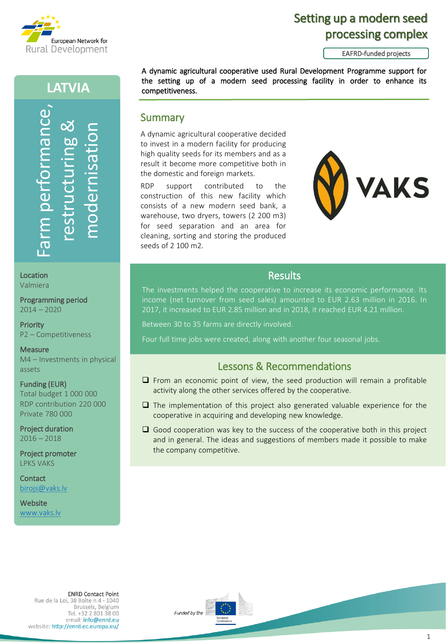

# Setting up a modern seed processing complex

EAFRD-funded projects

## **LATVIA**



Location Valmiera

Programming period 2014 – 2020

**Priority** P2 – Competitiveness

**Measure** M4 – Investments in physical assets

Funding (EUR) Total budget 1 000 000 RDP contribution 220 000 Private 780 000

Project duration  $2016 - 2018$ 

Project promoter LPKS VAKS

**Contact** [birojs@vaks.lv](mailto:birojs@vaks.lv)

**Website** www.vaks.lv

#### the setting up of a modern seed processing facility in order to enhance its competitiveness.

A dynamic agricultural cooperative decided to invest in a modern facility for producing high quality seeds for its members and as a result it become more competitive both in the domestic and foreign markets.

**Summary** 

RDP support contributed to the construction of this new facility which consists of a new modern seed bank, a warehouse, two dryers, towers (2 200 m3) for seed separation and an area for cleaning, sorting and storing the produced seeds of 2 100 m2.



#### **Results**

A dynamic agricultural cooperative used Rural Development Programme support for

The investments helped the cooperative to increase its economic performance. Its income (net turnover from seed sales) amounted to EUR 2.63 million in 2016. In 2017, it increased to EUR 2.85 million and in 2018, it reached EUR 4.21 million.

Between 30 to 35 farms are directly involved.

Four full time jobs were created, along with another four seasonal jobs.

## Lessons & Recommendations

- From an economic point of view, the seed production will remain a profitable activity along the other services offered by the cooperative.
- ❑ The implementation of this project also generated valuable experience for the cooperative in acquiring and developing new knowledge.
- $\Box$  Good cooperation was key to the success of the cooperative both in this project and in general. The ideas and suggestions of members made it possible to make the company competitive.

**ENRD Contact Point** Rue de la Loi, 38 Boîte n.4 - 1040 Brussels, Belgium Tel. +32 2 801 38 00 email: info@enrd.eu website: http://enrd.ec.europa.eu/